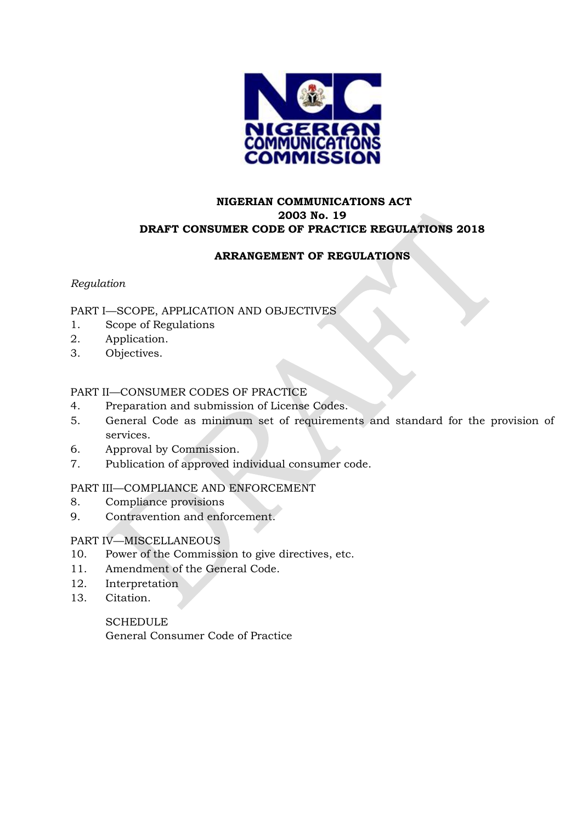

## **NIGERIAN COMMUNICATIONS ACT 2003 No. 19 DRAFT CONSUMER CODE OF PRACTICE REGULATIONS 2018**

## **ARRANGEMENT OF REGULATIONS**

## *Regulation*

## PART I—SCOPE, APPLICATION AND OBJECTIVES

- 1. Scope of Regulations
- 2. Application.
- 3. Objectives.

## PART II—CONSUMER CODES OF PRACTICE

- 4. Preparation and submission of License Codes.
- 5. General Code as minimum set of requirements and standard for the provision of services.
- 6. Approval by Commission.
- 7. Publication of approved individual consumer code.

### PART III—COMPLIANCE AND ENFORCEMENT

- 8. Compliance provisions
- 9. Contravention and enforcement.

### PART IV—MISCELLANEOUS

- 10. Power of the Commission to give directives, etc.
- 11. Amendment of the General Code.
- 12. Interpretation
- 13. Citation.

**SCHEDULE** General Consumer Code of Practice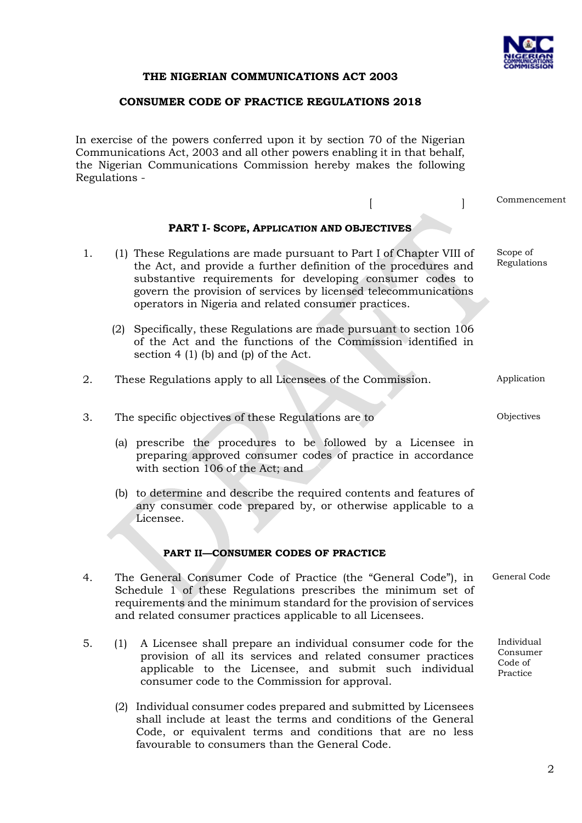

### **THE NIGERIAN COMMUNICATIONS ACT 2003**

### **CONSUMER CODE OF PRACTICE REGULATIONS 2018**

In exercise of the powers conferred upon it by section 70 of the Nigerian Communications Act, 2003 and all other powers enabling it in that behalf, the Nigerian Communications Commission hereby makes the following Regulations -

|                                    |     |                                                                                                                                                                                                                                                                                                                                 |  |  | Commencement                                  |
|------------------------------------|-----|---------------------------------------------------------------------------------------------------------------------------------------------------------------------------------------------------------------------------------------------------------------------------------------------------------------------------------|--|--|-----------------------------------------------|
|                                    |     | PART I- SCOPE, APPLICATION AND OBJECTIVES                                                                                                                                                                                                                                                                                       |  |  |                                               |
| 1.                                 |     | (1) These Regulations are made pursuant to Part I of Chapter VIII of<br>the Act, and provide a further definition of the procedures and<br>substantive requirements for developing consumer codes to<br>govern the provision of services by licensed telecommunications<br>operators in Nigeria and related consumer practices. |  |  | Scope of<br>Regulations                       |
|                                    |     | (2) Specifically, these Regulations are made pursuant to section 106<br>of the Act and the functions of the Commission identified in<br>section $4(1)$ (b) and (p) of the Act.                                                                                                                                                  |  |  |                                               |
| 2.                                 |     | These Regulations apply to all Licensees of the Commission.                                                                                                                                                                                                                                                                     |  |  | Application                                   |
| 3.                                 |     | The specific objectives of these Regulations are to                                                                                                                                                                                                                                                                             |  |  | Objectives                                    |
|                                    |     | (a) prescribe the procedures to be followed by a Licensee in<br>preparing approved consumer codes of practice in accordance<br>with section 106 of the Act; and                                                                                                                                                                 |  |  |                                               |
|                                    |     | (b) to determine and describe the required contents and features of<br>any consumer code prepared by, or otherwise applicable to a<br>Licensee.                                                                                                                                                                                 |  |  |                                               |
| PART II-CONSUMER CODES OF PRACTICE |     |                                                                                                                                                                                                                                                                                                                                 |  |  |                                               |
| 4.                                 |     | The General Consumer Code of Practice (the "General Code"), in<br>Schedule 1 of these Regulations prescribes the minimum set of<br>requirements and the minimum standard for the provision of services<br>and related consumer practices applicable to all Licensees.                                                           |  |  | General Code                                  |
| 5.                                 | (1) | A Licensee shall prepare an individual consumer code for the<br>provision of all its services and related consumer practices<br>applicable to the Licensee, and submit such individual<br>consumer code to the Commission for approval.                                                                                         |  |  | Individual<br>Consumer<br>Code of<br>Practice |

(2) Individual consumer codes prepared and submitted by Licensees shall include at least the terms and conditions of the General Code, or equivalent terms and conditions that are no less favourable to consumers than the General Code.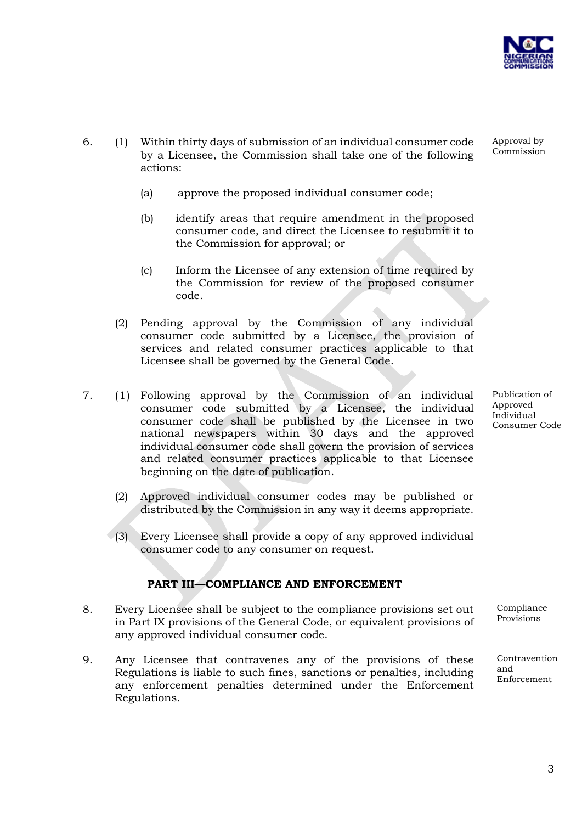

Approval by Commission

- 6. (1) Within thirty days of submission of an individual consumer code by a Licensee, the Commission shall take one of the following actions:
	- (a) approve the proposed individual consumer code;
	- (b) identify areas that require amendment in the proposed consumer code, and direct the Licensee to resubmit it to the Commission for approval; or
	- (c) Inform the Licensee of any extension of time required by the Commission for review of the proposed consumer code.
	- (2) Pending approval by the Commission of any individual consumer code submitted by a Licensee, the provision of services and related consumer practices applicable to that Licensee shall be governed by the General Code.
- 7. (1) Following approval by the Commission of an individual consumer code submitted by a Licensee, the individual consumer code shall be published by the Licensee in two national newspapers within 30 days and the approved individual consumer code shall govern the provision of services and related consumer practices applicable to that Licensee beginning on the date of publication.
	- (2) Approved individual consumer codes may be published or distributed by the Commission in any way it deems appropriate.
	- (3) Every Licensee shall provide a copy of any approved individual consumer code to any consumer on request.

## **PART III—COMPLIANCE AND ENFORCEMENT**

- 8. Every Licensee shall be subject to the compliance provisions set out in Part IX provisions of the General Code, or equivalent provisions of any approved individual consumer code.
- 9. Any Licensee that contravenes any of the provisions of these Regulations is liable to such fines, sanctions or penalties, including any enforcement penalties determined under the Enforcement Regulations.

Publication of Approved Individual Consumer Code

Compliance Provisions

Contravention and Enforcement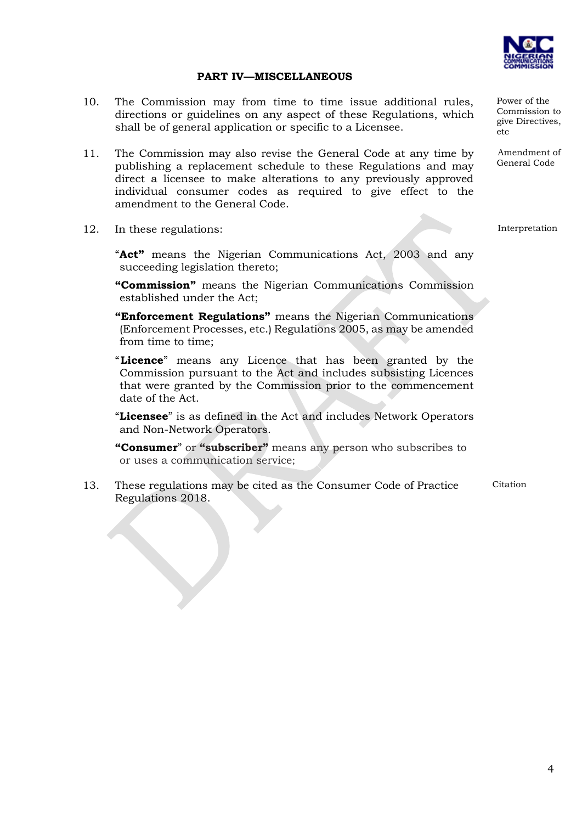

Power of the Commission to give Directives,

Amendment of General Code

etc

#### **PART IV—MISCELLANEOUS**

- 10. The Commission may from time to time issue additional rules, directions or guidelines on any aspect of these Regulations, which shall be of general application or specific to a Licensee.
- 11. The Commission may also revise the General Code at any time by publishing a replacement schedule to these Regulations and may direct a licensee to make alterations to any previously approved individual consumer codes as required to give effect to the amendment to the General Code.
- 12. In these regulations:

Interpretation

"**Act"** means the Nigerian Communications Act, 2003 and any succeeding legislation thereto;

**"Commission"** means the Nigerian Communications Commission established under the Act;

**"Enforcement Regulations"** means the Nigerian Communications (Enforcement Processes, etc.) Regulations 2005, as may be amended from time to time;

"**Licence**" means any Licence that has been granted by the Commission pursuant to the Act and includes subsisting Licences that were granted by the Commission prior to the commencement date of the Act.

"**Licensee**" is as defined in the Act and includes Network Operators and Non-Network Operators.

**"Consumer**" or **"subscriber"** means any person who subscribes to or uses a communication service;

13. These regulations may be cited as the Consumer Code of Practice Regulations 2018. Citation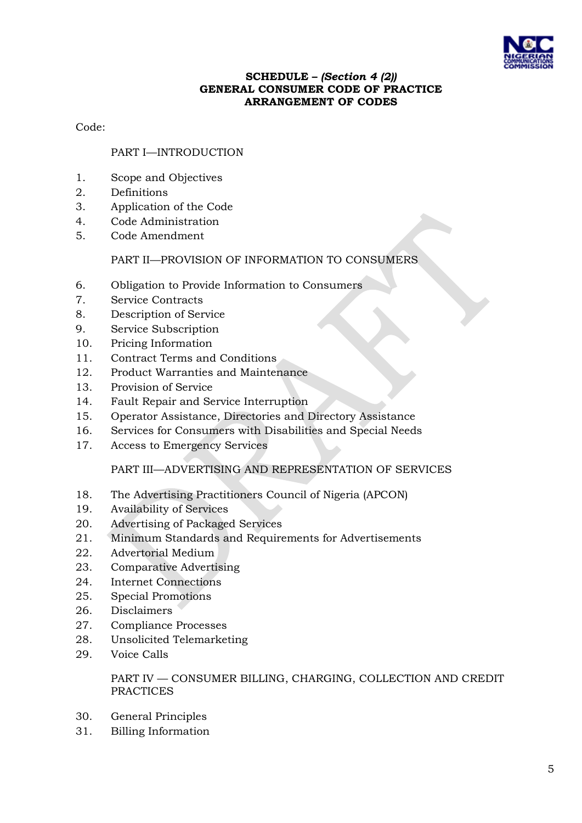

## **SCHEDULE –** *(Section 4 (2))* **GENERAL CONSUMER CODE OF PRACTICE ARRANGEMENT OF CODES**

Code:

## PART I—INTRODUCTION

- 1. Scope and Objectives
- 2. Definitions
- 3. Application of the Code
- 4. Code Administration
- 5. Code Amendment

### PART II—PROVISION OF INFORMATION TO CONSUMERS

- 6. Obligation to Provide Information to Consumers
- 7. Service Contracts
- 8. Description of Service
- 9. Service Subscription
- 10. Pricing Information
- 11. Contract Terms and Conditions
- 12. Product Warranties and Maintenance
- 13. Provision of Service
- 14. Fault Repair and Service Interruption
- 15. Operator Assistance, Directories and Directory Assistance
- 16. Services for Consumers with Disabilities and Special Needs
- 17. Access to Emergency Services

### PART III—ADVERTISING AND REPRESENTATION OF SERVICES

- 18. The Advertising Practitioners Council of Nigeria (APCON)
- 19. Availability of Services
- 20. Advertising of Packaged Services
- 21. Minimum Standards and Requirements for Advertisements
- 22. Advertorial Medium
- 23. Comparative Advertising
- 24. Internet Connections
- 25. Special Promotions
- 26. Disclaimers
- 27. Compliance Processes
- 28. Unsolicited Telemarketing
- 29. Voice Calls

### PART IV — CONSUMER BILLING, CHARGING, COLLECTION AND CREDIT PRACTICES

- 30. General Principles
- 31. Billing Information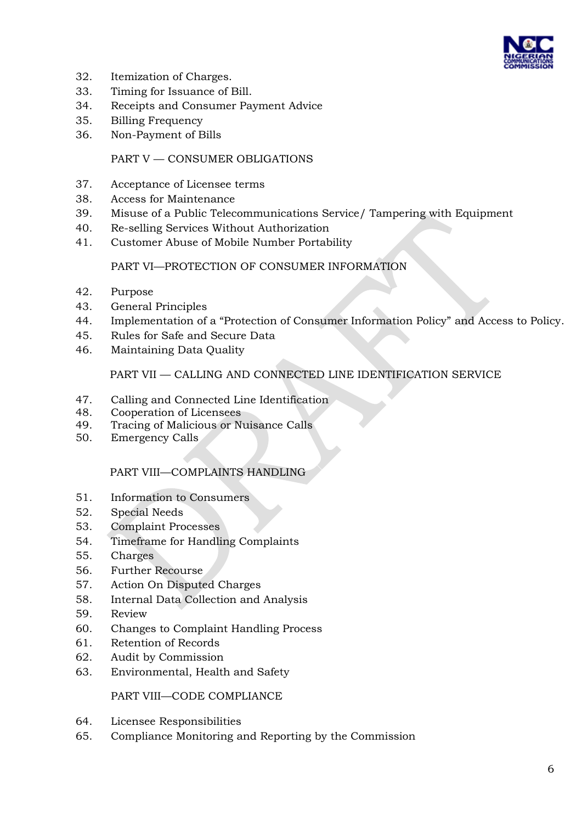

- 32. Itemization of Charges.
- 33. Timing for Issuance of Bill.
- 34. Receipts and Consumer Payment Advice
- 35. Billing Frequency
- 36. Non-Payment of Bills

### PART V — CONSUMER OBLIGATIONS

- 37. Acceptance of Licensee terms
- 38. Access for Maintenance
- 39. Misuse of a Public Telecommunications Service/ Tampering with Equipment
- 40. Re-selling Services Without Authorization
- 41. Customer Abuse of Mobile Number Portability

### PART VI—PROTECTION OF CONSUMER INFORMATION

- 42. Purpose
- 43. General Principles
- 44. Implementation of a "Protection of Consumer Information Policy" and Access to Policy.
- 45. Rules for Safe and Secure Data
- 46. Maintaining Data Quality

## PART VII — CALLING AND CONNECTED LINE IDENTIFICATION SERVICE

- 47. Calling and Connected Line Identification
- 48. Cooperation of Licensees
- 49. Tracing of Malicious or Nuisance Calls
- 50. Emergency Calls

### PART VIII—COMPLAINTS HANDLING

- 51. Information to Consumers
- 52. Special Needs
- 53. Complaint Processes
- 54. Timeframe for Handling Complaints
- 55. Charges
- 56. Further Recourse
- 57. Action On Disputed Charges
- 58. Internal Data Collection and Analysis
- 59. Review
- 60. Changes to Complaint Handling Process
- 61. Retention of Records
- 62. Audit by Commission
- 63. Environmental, Health and Safety

PART VIII—CODE COMPLIANCE

- 64. Licensee Responsibilities
- 65. Compliance Monitoring and Reporting by the Commission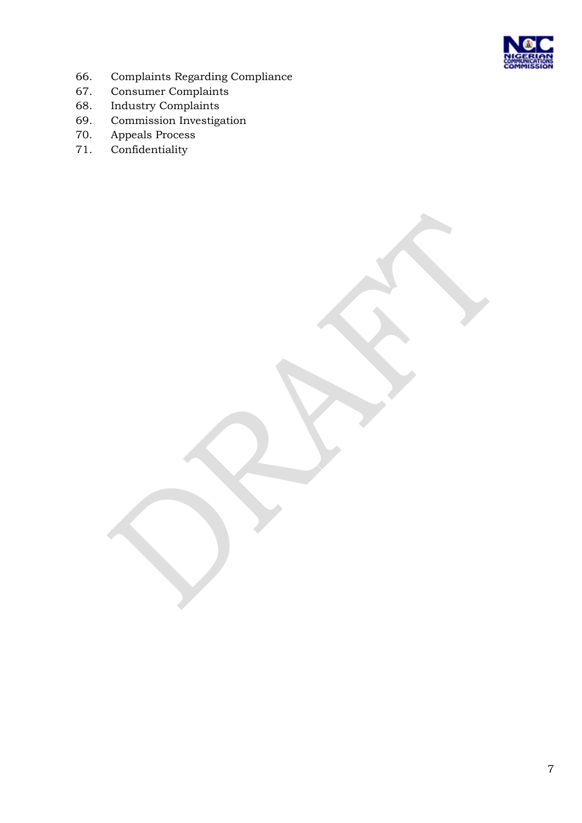

- 66. Complaints Regarding Compliance
- 67. Consumer Complaints
- 68. Industry Complaints
- 69. Commission Investigation
- 70. Appeals Process
- 71. Confidentiality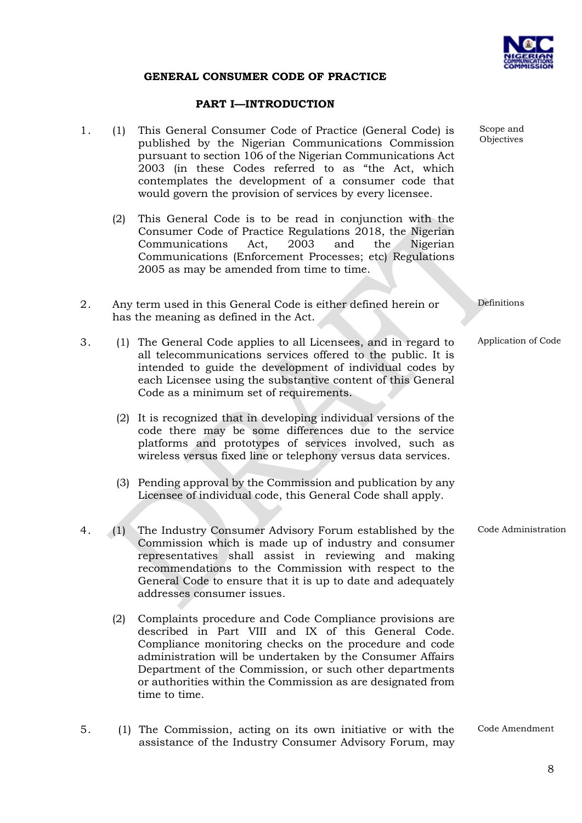

#### **GENERAL CONSUMER CODE OF PRACTICE**

#### **PART I—INTRODUCTION**

- 1. (1) This General Consumer Code of Practice (General Code) is published by the Nigerian Communications Commission pursuant to section 106 of the Nigerian Communications Act 2003 (in these Codes referred to as "the Act, which contemplates the development of a consumer code that would govern the provision of services by every licensee.
	- (2) This General Code is to be read in conjunction with the Consumer Code of Practice Regulations 2018, the Nigerian Communications Act, 2003 and the Nigerian Communications (Enforcement Processes; etc) Regulations 2005 as may be amended from time to time.
- 2. Any term used in this General Code is either defined herein or has the meaning as defined in the Act.
- 3. (1) The General Code applies to all Licensees, and in regard to all telecommunications services offered to the public. It is intended to guide the development of individual codes by each Licensee using the substantive content of this General Code as a minimum set of requirements.
	- (2) It is recognized that in developing individual versions of the code there may be some differences due to the service platforms and prototypes of services involved, such as wireless versus fixed line or telephony versus data services.
	- (3) Pending approval by the Commission and publication by any Licensee of individual code, this General Code shall apply.
- 4. (1) The Industry Consumer Advisory Forum established by the Commission which is made up of industry and consumer representatives shall assist in reviewing and making recommendations to the Commission with respect to the General Code to ensure that it is up to date and adequately addresses consumer issues. Code Administration
	- (2) Complaints procedure and Code Compliance provisions are described in Part VIII and IX of this General Code. Compliance monitoring checks on the procedure and code administration will be undertaken by the Consumer Affairs Department of the Commission, or such other departments or authorities within the Commission as are designated from time to time.
- 5. (1) The Commission, acting on its own initiative or with the assistance of the Industry Consumer Advisory Forum, may

Scope and Objectives

Definitions

Application of Code

Code Amendment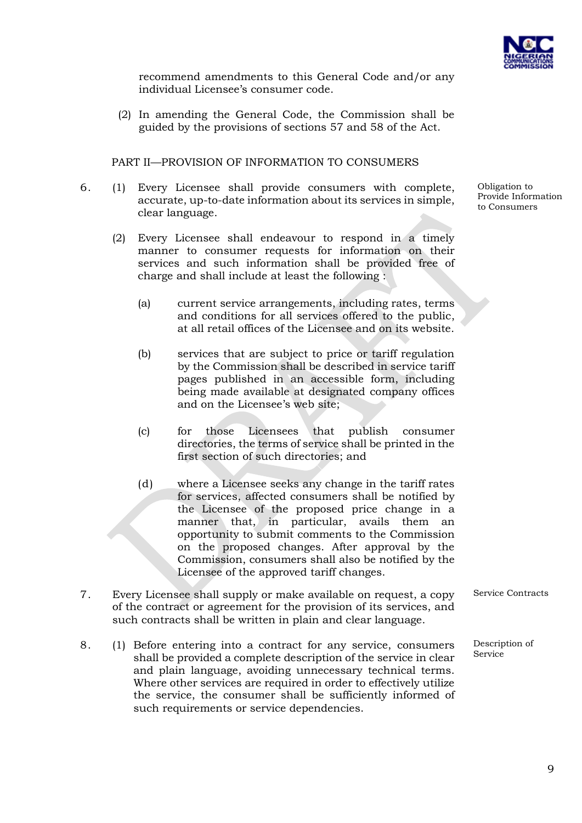

recommend amendments to this General Code and/or any individual Licensee's consumer code.

(2) In amending the General Code, the Commission shall be guided by the provisions of sections 57 and 58 of the Act.

PART II—PROVISION OF INFORMATION TO CONSUMERS

- 6. (1) Every Licensee shall provide consumers with complete, accurate, up-to-date information about its services in simple, clear language.
	- (2) Every Licensee shall endeavour to respond in a timely manner to consumer requests for information on their services and such information shall be provided free of charge and shall include at least the following :
		- (a) current service arrangements, including rates, terms and conditions for all services offered to the public, at all retail offices of the Licensee and on its website.
		- (b) services that are subject to price or tariff regulation by the Commission shall be described in service tariff pages published in an accessible form, including being made available at designated company offices and on the Licensee's web site;
		- (c) for those Licensees that publish consumer directories, the terms of service shall be printed in the first section of such directories; and
		- (d) where a Licensee seeks any change in the tariff rates for services, affected consumers shall be notified by the Licensee of the proposed price change in a manner that, in particular, avails them an opportunity to submit comments to the Commission on the proposed changes. After approval by the Commission, consumers shall also be notified by the Licensee of the approved tariff changes.
- 7. Every Licensee shall supply or make available on request, a copy of the contract or agreement for the provision of its services, and such contracts shall be written in plain and clear language.
- 8. (1) Before entering into a contract for any service, consumers shall be provided a complete description of the service in clear and plain language, avoiding unnecessary technical terms. Where other services are required in order to effectively utilize the service, the consumer shall be sufficiently informed of such requirements or service dependencies.

Service Contracts

Description of **Service** 

Obligation to Provide Information to Consumers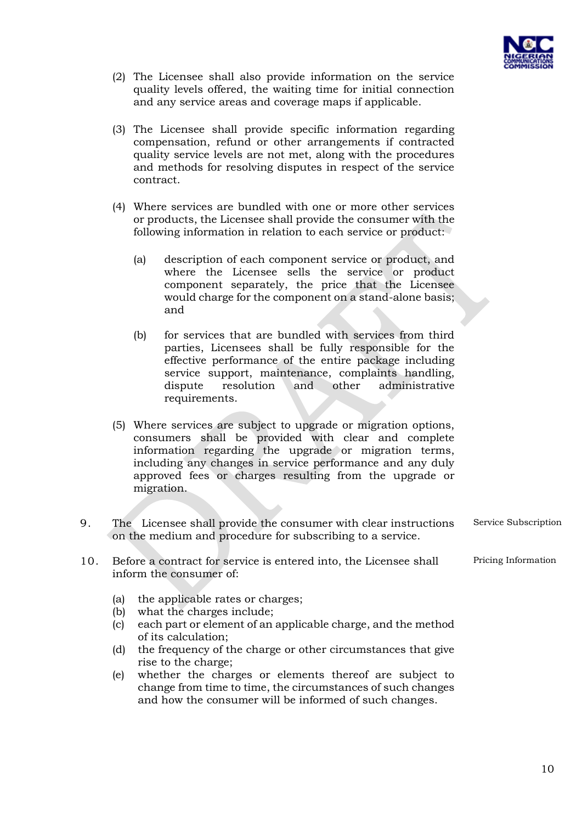

- (2) The Licensee shall also provide information on the service quality levels offered, the waiting time for initial connection and any service areas and coverage maps if applicable.
- (3) The Licensee shall provide specific information regarding compensation, refund or other arrangements if contracted quality service levels are not met, along with the procedures and methods for resolving disputes in respect of the service contract.
- (4) Where services are bundled with one or more other services or products, the Licensee shall provide the consumer with the following information in relation to each service or product:
	- (a) description of each component service or product, and where the Licensee sells the service or product component separately, the price that the Licensee would charge for the component on a stand-alone basis; and
	- (b) for services that are bundled with services from third parties, Licensees shall be fully responsible for the effective performance of the entire package including service support, maintenance, complaints handling, dispute resolution and other administrative requirements.
- (5) Where services are subject to upgrade or migration options, consumers shall be provided with clear and complete information regarding the upgrade or migration terms, including any changes in service performance and any duly approved fees or charges resulting from the upgrade or migration.
- 9. The Licensee shall provide the consumer with clear instructions on the medium and procedure for subscribing to a service. Service Subscription
- 10. Before a contract for service is entered into, the Licensee shall inform the consumer of:
	- (a) the applicable rates or charges;
	- (b) what the charges include;
	- (c) each part or element of an applicable charge, and the method of its calculation;
	- (d) the frequency of the charge or other circumstances that give rise to the charge;
	- (e) whether the charges or elements thereof are subject to change from time to time, the circumstances of such changes and how the consumer will be informed of such changes.

10

Pricing Information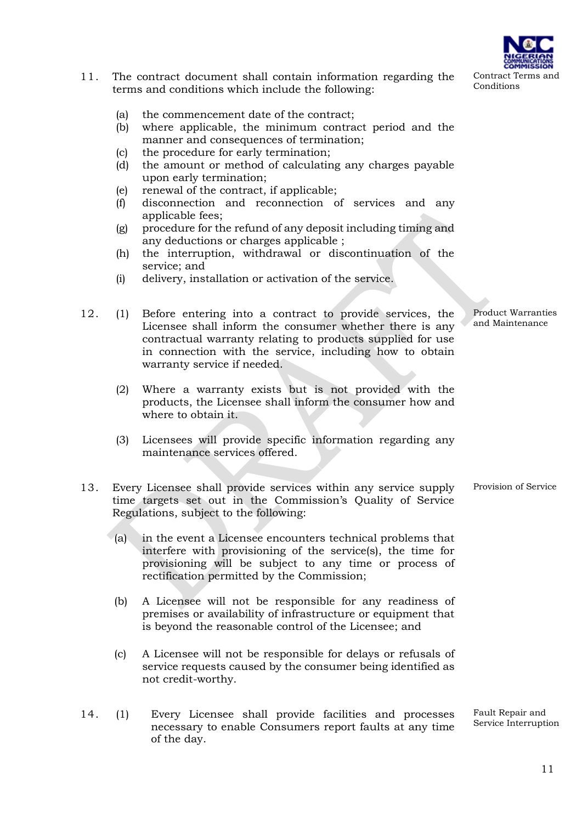#### 11. The contract document shall contain information regarding the terms and conditions which include the following:

- (a) the commencement date of the contract;
- (b) where applicable, the minimum contract period and the manner and consequences of termination;
- (c) the procedure for early termination;
- (d) the amount or method of calculating any charges payable upon early termination;
- (e) renewal of the contract, if applicable;
- (f) disconnection and reconnection of services and any applicable fees;
- (g) procedure for the refund of any deposit including timing and any deductions or charges applicable ;
- (h) the interruption, withdrawal or discontinuation of the service; and
- (i) delivery, installation or activation of the service.
- 12. (1) Before entering into a contract to provide services, the Licensee shall inform the consumer whether there is any contractual warranty relating to products supplied for use in connection with the service, including how to obtain warranty service if needed.
	- (2) Where a warranty exists but is not provided with the products, the Licensee shall inform the consumer how and where to obtain it.
	- (3) Licensees will provide specific information regarding any maintenance services offered.
- 13. Every Licensee shall provide services within any service supply time targets set out in the Commission's Quality of Service Regulations, subject to the following: Provision of Service
	- (a) in the event a Licensee encounters technical problems that interfere with provisioning of the service(s), the time for provisioning will be subject to any time or process of rectification permitted by the Commission;
	- (b) A Licensee will not be responsible for any readiness of premises or availability of infrastructure or equipment that is beyond the reasonable control of the Licensee; and
	- (c) A Licensee will not be responsible for delays or refusals of service requests caused by the consumer being identified as not credit-worthy.
- 14. (1) Every Licensee shall provide facilities and processes necessary to enable Consumers report faults at any time of the day.

Fault Repair and Service Interruption

Product Warranties and Maintenance

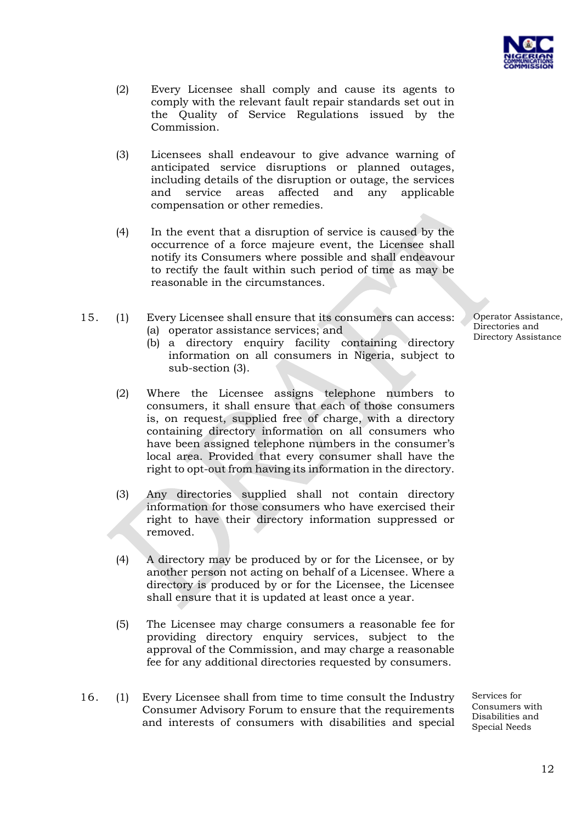

- (2) Every Licensee shall comply and cause its agents to comply with the relevant fault repair standards set out in the Quality of Service Regulations issued by the Commission.
- (3) Licensees shall endeavour to give advance warning of anticipated service disruptions or planned outages, including details of the disruption or outage, the services and service areas affected and any applicable compensation or other remedies.
- (4) In the event that a disruption of service is caused by the occurrence of a force majeure event, the Licensee shall notify its Consumers where possible and shall endeavour to rectify the fault within such period of time as may be reasonable in the circumstances.
- 15. (1) Every Licensee shall ensure that its consumers can access: (a) operator assistance services; and
	- (b) a directory enquiry facility containing directory information on all consumers in Nigeria, subject to sub-section (3).
	- (2) Where the Licensee assigns telephone numbers to consumers, it shall ensure that each of those consumers is, on request, supplied free of charge, with a directory containing directory information on all consumers who have been assigned telephone numbers in the consumer's local area. Provided that every consumer shall have the right to opt-out from having its information in the directory.
	- (3) Any directories supplied shall not contain directory information for those consumers who have exercised their right to have their directory information suppressed or removed.
	- (4) A directory may be produced by or for the Licensee, or by another person not acting on behalf of a Licensee. Where a directory is produced by or for the Licensee, the Licensee shall ensure that it is updated at least once a year.
	- (5) The Licensee may charge consumers a reasonable fee for providing directory enquiry services, subject to the approval of the Commission, and may charge a reasonable fee for any additional directories requested by consumers.
- 16. (1) Every Licensee shall from time to time consult the Industry Consumer Advisory Forum to ensure that the requirements and interests of consumers with disabilities and special

Services for Consumers with Disabilities and Special Needs

Operator Assistance, Directories and Directory Assistance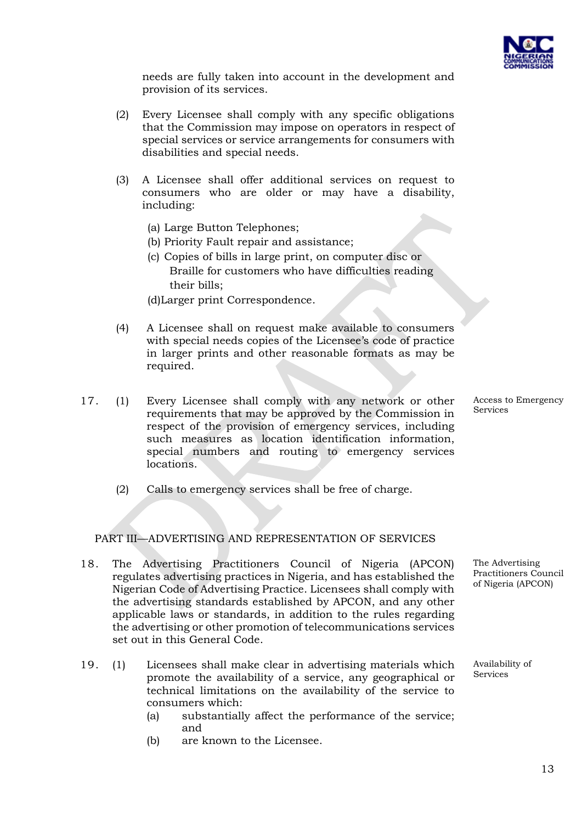

needs are fully taken into account in the development and provision of its services.

- (2) Every Licensee shall comply with any specific obligations that the Commission may impose on operators in respect of special services or service arrangements for consumers with disabilities and special needs.
- (3) A Licensee shall offer additional services on request to consumers who are older or may have a disability, including:
	- (a) Large Button Telephones;
	- (b) Priority Fault repair and assistance;
	- (c) Copies of bills in large print, on computer disc or Braille for customers who have difficulties reading their bills;
	- (d)Larger print Correspondence.
- (4) A Licensee shall on request make available to consumers with special needs copies of the Licensee's code of practice in larger prints and other reasonable formats as may be required.
- 17. (1) Every Licensee shall comply with any network or other requirements that may be approved by the Commission in respect of the provision of emergency services, including such measures as location identification information, special numbers and routing to emergency services locations.
	- (2) Calls to emergency services shall be free of charge.

#### PART III—ADVERTISING AND REPRESENTATION OF SERVICES

- 18. The Advertising Practitioners Council of Nigeria (APCON) regulates advertising practices in Nigeria, and has established the Nigerian Code of Advertising Practice. Licensees shall comply with the advertising standards established by APCON, and any other applicable laws or standards, in addition to the rules regarding the advertising or other promotion of telecommunications services set out in this General Code.
- 19. (1) Licensees shall make clear in advertising materials which promote the availability of a service, any geographical or technical limitations on the availability of the service to consumers which:
	- (a) substantially affect the performance of the service; and
	- (b) are known to the Licensee.

Access to Emergency Services

The Advertising Practitioners Council of Nigeria (APCON)

Availability of Services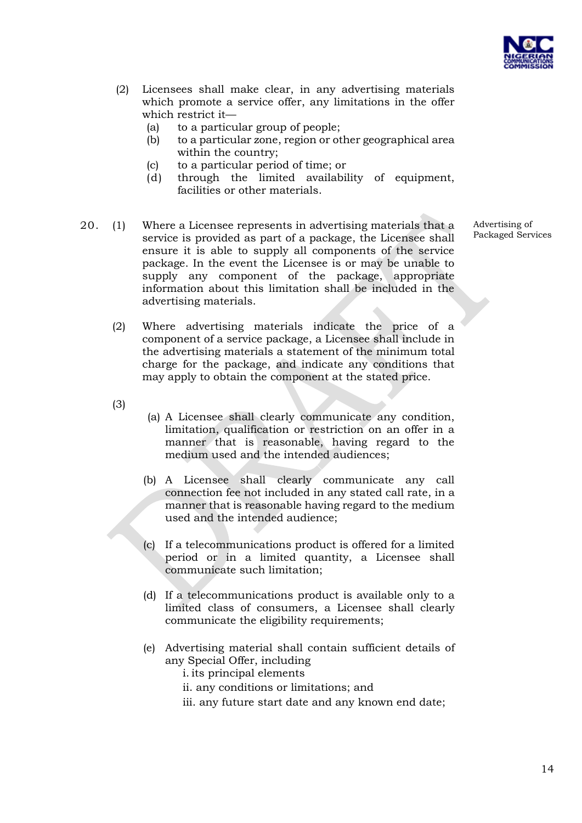

- (2) Licensees shall make clear, in any advertising materials which promote a service offer, any limitations in the offer which restrict it—
	- (a) to a particular group of people;
	- (b) to a particular zone, region or other geographical area within the country;
	- (c) to a particular period of time; or
	- (d) through the limited availability of equipment, facilities or other materials.
- 20. (1) Where a Licensee represents in advertising materials that a service is provided as part of a package, the Licensee shall ensure it is able to supply all components of the service package. In the event the Licensee is or may be unable to supply any component of the package, appropriate information about this limitation shall be included in the advertising materials.
	- (2) Where advertising materials indicate the price of a component of a service package, a Licensee shall include in the advertising materials a statement of the minimum total charge for the package, and indicate any conditions that may apply to obtain the component at the stated price.
	- (3)
- (a) A Licensee shall clearly communicate any condition, limitation, qualification or restriction on an offer in a manner that is reasonable, having regard to the medium used and the intended audiences;
- (b) A Licensee shall clearly communicate any call connection fee not included in any stated call rate, in a manner that is reasonable having regard to the medium used and the intended audience;
- (c) If a telecommunications product is offered for a limited period or in a limited quantity, a Licensee shall communicate such limitation;
- (d) If a telecommunications product is available only to a limited class of consumers, a Licensee shall clearly communicate the eligibility requirements;
- (e) Advertising material shall contain sufficient details of any Special Offer, including
	- i. its principal elements
	- ii. any conditions or limitations; and
	- iii. any future start date and any known end date;

Advertising of Packaged Services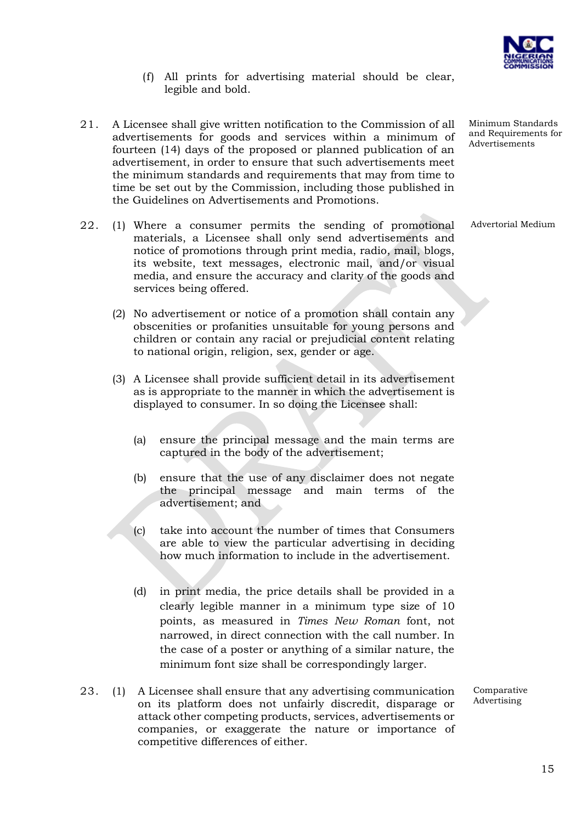

- (f) All prints for advertising material should be clear, legible and bold.
- 21. A Licensee shall give written notification to the Commission of all advertisements for goods and services within a minimum of fourteen (14) days of the proposed or planned publication of an advertisement, in order to ensure that such advertisements meet the minimum standards and requirements that may from time to time be set out by the Commission, including those published in the Guidelines on Advertisements and Promotions.
- 22. (1) Where a consumer permits the sending of promotional materials, a Licensee shall only send advertisements and notice of promotions through print media, radio, mail, blogs, its website, text messages, electronic mail, and/or visual media, and ensure the accuracy and clarity of the goods and services being offered.
	- (2) No advertisement or notice of a promotion shall contain any obscenities or profanities unsuitable for young persons and children or contain any racial or prejudicial content relating to national origin, religion, sex, gender or age.
	- (3) A Licensee shall provide sufficient detail in its advertisement as is appropriate to the manner in which the advertisement is displayed to consumer. In so doing the Licensee shall:
		- (a) ensure the principal message and the main terms are captured in the body of the advertisement;
		- (b) ensure that the use of any disclaimer does not negate the principal message and main terms of the advertisement; and
		- (c) take into account the number of times that Consumers are able to view the particular advertising in deciding how much information to include in the advertisement.
		- (d) in print media, the price details shall be provided in a clearly legible manner in a minimum type size of 10 points, as measured in *Times New Roman* font, not narrowed, in direct connection with the call number. In the case of a poster or anything of a similar nature, the minimum font size shall be correspondingly larger.
- 23. (1) A Licensee shall ensure that any advertising communication on its platform does not unfairly discredit, disparage or attack other competing products, services, advertisements or companies, or exaggerate the nature or importance of competitive differences of either.

Minimum Standards and Requirements for Advertisements

Advertorial Medium

Comparative Advertising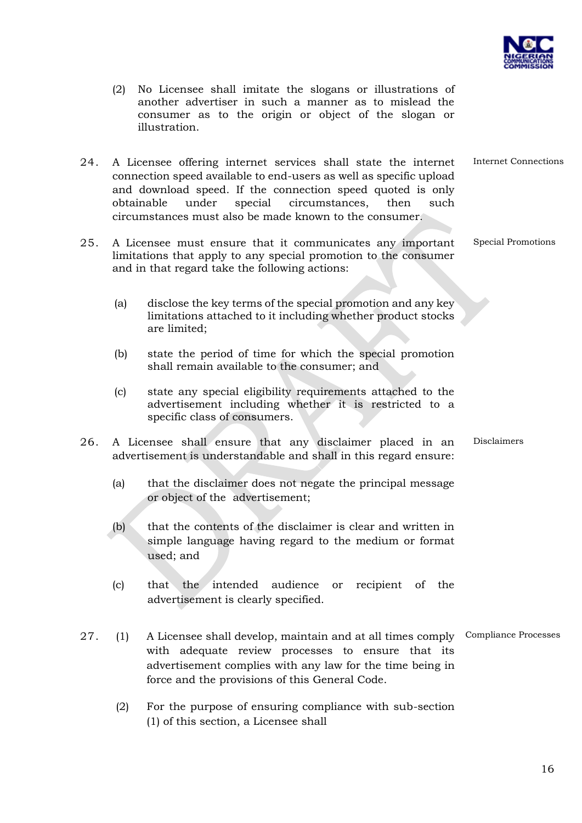

Internet Connections

Special Promotions

- (2) No Licensee shall imitate the slogans or illustrations of another advertiser in such a manner as to mislead the consumer as to the origin or object of the slogan or illustration.
- 24. A Licensee offering internet services shall state the internet connection speed available to end-users as well as specific upload and download speed. If the connection speed quoted is only obtainable under special circumstances, then such circumstances must also be made known to the consumer.
- 25. A Licensee must ensure that it communicates any important limitations that apply to any special promotion to the consumer and in that regard take the following actions:
	- (a) disclose the key terms of the special promotion and any key limitations attached to it including whether product stocks are limited;
	- (b) state the period of time for which the special promotion shall remain available to the consumer; and
	- (c) state any special eligibility requirements attached to the advertisement including whether it is restricted to a specific class of consumers.
- 26. A Licensee shall ensure that any disclaimer placed in an advertisement is understandable and shall in this regard ensure: Disclaimers
	- (a) that the disclaimer does not negate the principal message or object of the advertisement;
	- (b) that the contents of the disclaimer is clear and written in simple language having regard to the medium or format used; and
	- (c) that the intended audience or recipient of the advertisement is clearly specified.
- 27. (1) A Licensee shall develop, maintain and at all times comply Compliance Processeswith adequate review processes to ensure that its advertisement complies with any law for the time being in force and the provisions of this General Code.
	- (2) For the purpose of ensuring compliance with sub-section (1) of this section, a Licensee shall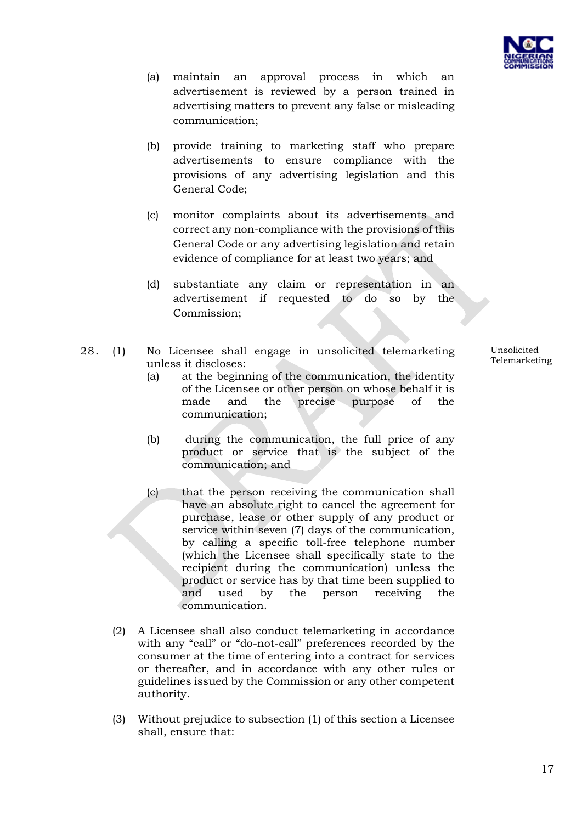

- (a) maintain an approval process in which an advertisement is reviewed by a person trained in advertising matters to prevent any false or misleading communication;
- (b) provide training to marketing staff who prepare advertisements to ensure compliance with the provisions of any advertising legislation and this General Code;
- (c) monitor complaints about its advertisements and correct any non-compliance with the provisions of this General Code or any advertising legislation and retain evidence of compliance for at least two years; and
- (d) substantiate any claim or representation in an advertisement if requested to do so by the Commission;
- 28. (1) No Licensee shall engage in unsolicited telemarketing unless it discloses:
	- (a) at the beginning of the communication, the identity of the Licensee or other person on whose behalf it is made and the precise purpose of the communication;
	- (b) during the communication, the full price of any product or service that is the subject of the communication; and
	- (c) that the person receiving the communication shall have an absolute right to cancel the agreement for purchase, lease or other supply of any product or service within seven (7) days of the communication, by calling a specific toll-free telephone number (which the Licensee shall specifically state to the recipient during the communication) unless the product or service has by that time been supplied to and used by the person receiving the communication.
	- (2) A Licensee shall also conduct telemarketing in accordance with any "call" or "do-not-call" preferences recorded by the consumer at the time of entering into a contract for services or thereafter, and in accordance with any other rules or guidelines issued by the Commission or any other competent authority.
	- (3) Without prejudice to subsection (1) of this section a Licensee shall, ensure that:

Unsolicited Telemarketing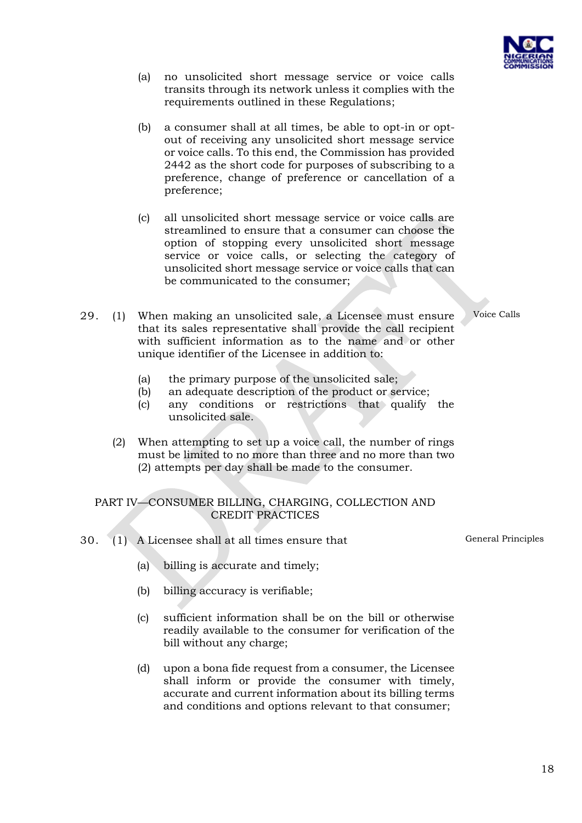

- (a) no unsolicited short message service or voice calls transits through its network unless it complies with the requirements outlined in these Regulations;
- (b) a consumer shall at all times, be able to opt-in or optout of receiving any unsolicited short message service or voice calls. To this end, the Commission has provided 2442 as the short code for purposes of subscribing to a preference, change of preference or cancellation of a preference;
- (c) all unsolicited short message service or voice calls are streamlined to ensure that a consumer can choose the option of stopping every unsolicited short message service or voice calls, or selecting the category of unsolicited short message service or voice calls that can be communicated to the consumer;
- 29. (1) When making an unsolicited sale, a Licensee must ensure that its sales representative shall provide the call recipient with sufficient information as to the name and or other unique identifier of the Licensee in addition to:
	- (a) the primary purpose of the unsolicited sale;
	- (b) an adequate description of the product or service;
	- (c) any conditions or restrictions that qualify the unsolicited sale.
	- (2) When attempting to set up a voice call, the number of rings must be limited to no more than three and no more than two (2) attempts per day shall be made to the consumer.

### PART IV—CONSUMER BILLING, CHARGING, COLLECTION AND CREDIT PRACTICES

- 30. (1) A Licensee shall at all times ensure that
	- (a) billing is accurate and timely;
	- (b) billing accuracy is verifiable;
	- (c) sufficient information shall be on the bill or otherwise readily available to the consumer for verification of the bill without any charge;
	- (d) upon a bona fide request from a consumer, the Licensee shall inform or provide the consumer with timely, accurate and current information about its billing terms and conditions and options relevant to that consumer;

Voice Calls

General Principles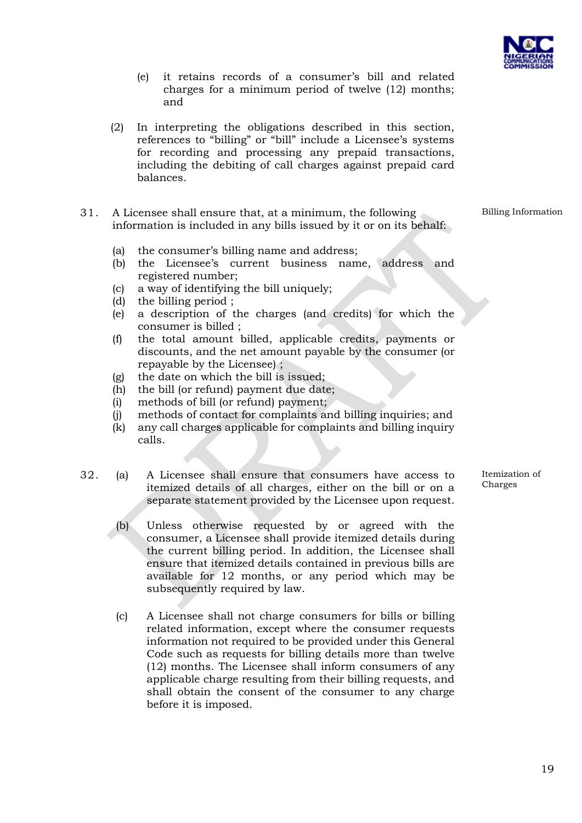

- (e) it retains records of a consumer's bill and related charges for a minimum period of twelve (12) months; and
- (2) In interpreting the obligations described in this section, references to "billing" or "bill" include a Licensee's systems for recording and processing any prepaid transactions, including the debiting of call charges against prepaid card balances.
- 31. A Licensee shall ensure that, at a minimum, the following information is included in any bills issued by it or on its behalf:
	- (a) the consumer's billing name and address;
	- (b) the Licensee's current business name, address and registered number;
	- (c) a way of identifying the bill uniquely;
	- (d) the billing period ;
	- (e) a description of the charges (and credits) for which the consumer is billed ;
	- (f) the total amount billed, applicable credits, payments or discounts, and the net amount payable by the consumer (or repayable by the Licensee) ;
	- (g) the date on which the bill is issued;
	- (h) the bill (or refund) payment due date;
	- (i) methods of bill (or refund) payment;
	- (j) methods of contact for complaints and billing inquiries; and
	- (k) any call charges applicable for complaints and billing inquiry calls.
- 32. (a) A Licensee shall ensure that consumers have access to itemized details of all charges, either on the bill or on a separate statement provided by the Licensee upon request.
	- (b) Unless otherwise requested by or agreed with the consumer, a Licensee shall provide itemized details during the current billing period. In addition, the Licensee shall ensure that itemized details contained in previous bills are available for 12 months, or any period which may be subsequently required by law.
	- (c) A Licensee shall not charge consumers for bills or billing related information, except where the consumer requests information not required to be provided under this General Code such as requests for billing details more than twelve (12) months. The Licensee shall inform consumers of any applicable charge resulting from their billing requests, and shall obtain the consent of the consumer to any charge before it is imposed.

Itemization of Charges

Billing Information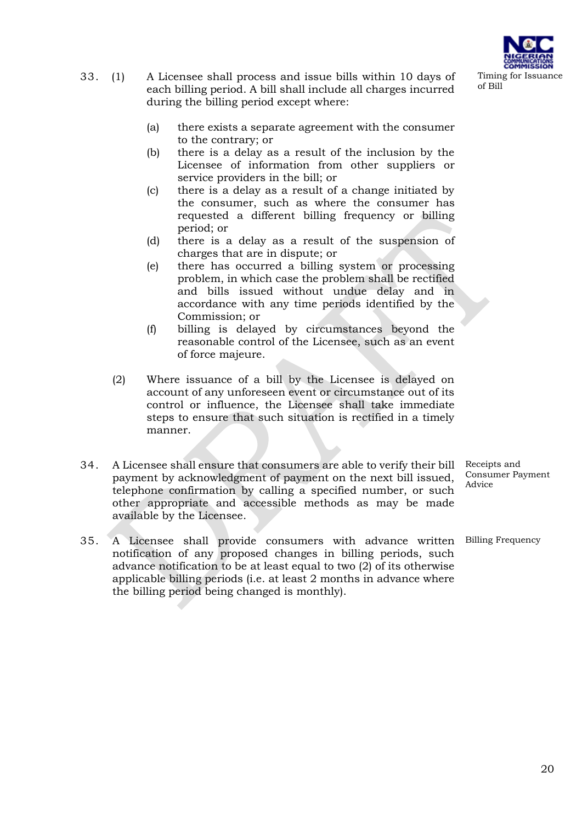

- 33. (1) A Licensee shall process and issue bills within 10 days of each billing period. A bill shall include all charges incurred during the billing period except where:
	- (a) there exists a separate agreement with the consumer to the contrary; or
	- (b) there is a delay as a result of the inclusion by the Licensee of information from other suppliers or service providers in the bill; or
	- (c) there is a delay as a result of a change initiated by the consumer, such as where the consumer has requested a different billing frequency or billing period; or
	- (d) there is a delay as a result of the suspension of charges that are in dispute; or
	- (e) there has occurred a billing system or processing problem, in which case the problem shall be rectified and bills issued without undue delay and in accordance with any time periods identified by the Commission; or
	- (f) billing is delayed by circumstances beyond the reasonable control of the Licensee, such as an event of force majeure.
	- (2) Where issuance of a bill by the Licensee is delayed on account of any unforeseen event or circumstance out of its control or influence, the Licensee shall take immediate steps to ensure that such situation is rectified in a timely manner.
- 34. A Licensee shall ensure that consumers are able to verify their bill payment by acknowledgment of payment on the next bill issued, telephone confirmation by calling a specified number, or such other appropriate and accessible methods as may be made available by the Licensee.
- 35. A Licensee shall provide consumers with advance written Billing Frequencynotification of any proposed changes in billing periods, such advance notification to be at least equal to two (2) of its otherwise applicable billing periods (i.e. at least 2 months in advance where the billing period being changed is monthly).

Receipts and Consumer Payment Advice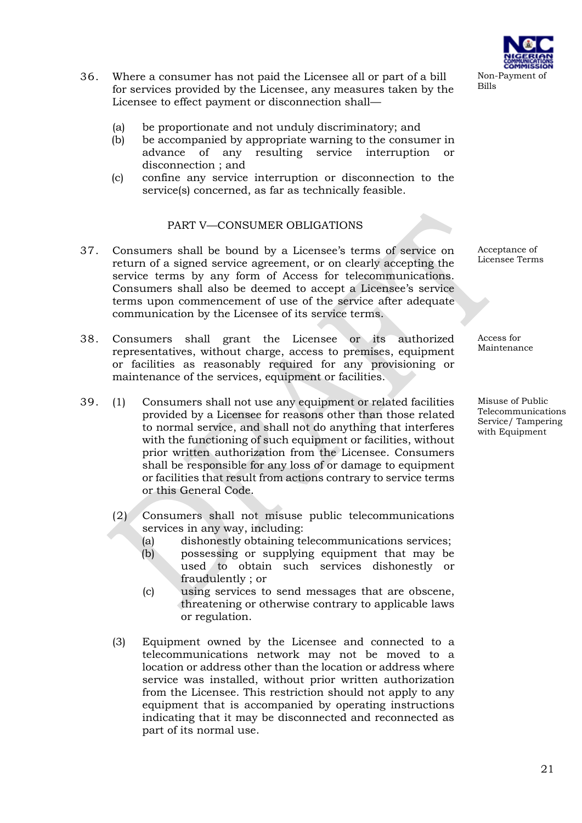- 36. Where a consumer has not paid the Licensee all or part of a bill for services provided by the Licensee, any measures taken by the Licensee to effect payment or disconnection shall—
	- (a) be proportionate and not unduly discriminatory; and
	- (b) be accompanied by appropriate warning to the consumer in advance of any resulting service interruption or disconnection ; and
	- (c) confine any service interruption or disconnection to the service(s) concerned, as far as technically feasible.

### PART V—CONSUMER OBLIGATIONS

- 37. Consumers shall be bound by a Licensee's terms of service on return of a signed service agreement, or on clearly accepting the service terms by any form of Access for telecommunications. Consumers shall also be deemed to accept a Licensee's service terms upon commencement of use of the service after adequate communication by the Licensee of its service terms.
- 38. Consumers shall grant the Licensee or its authorized representatives, without charge, access to premises, equipment or facilities as reasonably required for any provisioning or maintenance of the services, equipment or facilities.
- 39. (1) Consumers shall not use any equipment or related facilities provided by a Licensee for reasons other than those related to normal service, and shall not do anything that interferes with the functioning of such equipment or facilities, without prior written authorization from the Licensee. Consumers shall be responsible for any loss of or damage to equipment or facilities that result from actions contrary to service terms or this General Code.
	- (2) Consumers shall not misuse public telecommunications services in any way, including:
		- (a) dishonestly obtaining telecommunications services;
		- (b) possessing or supplying equipment that may be used to obtain such services dishonestly or fraudulently ; or
		- (c) using services to send messages that are obscene, threatening or otherwise contrary to applicable laws or regulation.
	- (3) Equipment owned by the Licensee and connected to a telecommunications network may not be moved to a location or address other than the location or address where service was installed, without prior written authorization from the Licensee. This restriction should not apply to any equipment that is accompanied by operating instructions indicating that it may be disconnected and reconnected as part of its normal use.

Acceptance of Licensee Terms

Access for Maintenance

Misuse of Public Telecommunications Service/ Tampering with Equipment

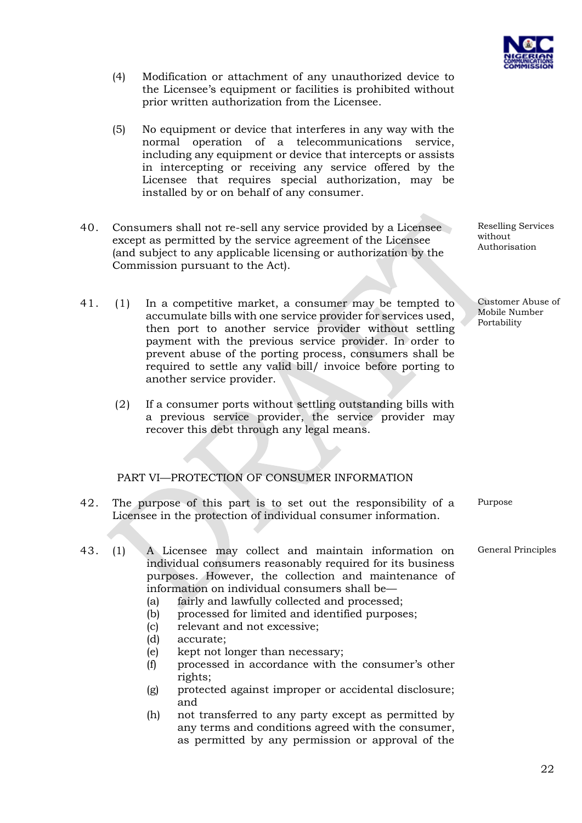

Customer Abuse of Mobile Number Portability

Reselling Services

without Authorisation

Purpose

General Principles

- (4) Modification or attachment of any unauthorized device to the Licensee's equipment or facilities is prohibited without prior written authorization from the Licensee.
- (5) No equipment or device that interferes in any way with the normal operation of a telecommunications service, including any equipment or device that intercepts or assists in intercepting or receiving any service offered by the Licensee that requires special authorization, may be installed by or on behalf of any consumer.
- 40. Consumers shall not re-sell any service provided by a Licensee except as permitted by the service agreement of the Licensee (and subject to any applicable licensing or authorization by the Commission pursuant to the Act).
- 41. (1) In a competitive market, a consumer may be tempted to accumulate bills with one service provider for services used, then port to another service provider without settling payment with the previous service provider. In order to prevent abuse of the porting process, consumers shall be required to settle any valid bill/ invoice before porting to another service provider.
	- (2) If a consumer ports without settling outstanding bills with a previous service provider, the service provider may recover this debt through any legal means.

# PART VI—PROTECTION OF CONSUMER INFORMATION

- 42. The purpose of this part is to set out the responsibility of a Licensee in the protection of individual consumer information.
- 43. (1) A Licensee may collect and maintain information on individual consumers reasonably required for its business purposes. However, the collection and maintenance of information on individual consumers shall be—
	- (a) fairly and lawfully collected and processed;
	- (b) processed for limited and identified purposes;
	- (c) relevant and not excessive;
	- (d) accurate;
	- (e) kept not longer than necessary;
	- (f) processed in accordance with the consumer's other rights;
	- (g) protected against improper or accidental disclosure; and
	- (h) not transferred to any party except as permitted by any terms and conditions agreed with the consumer, as permitted by any permission or approval of the

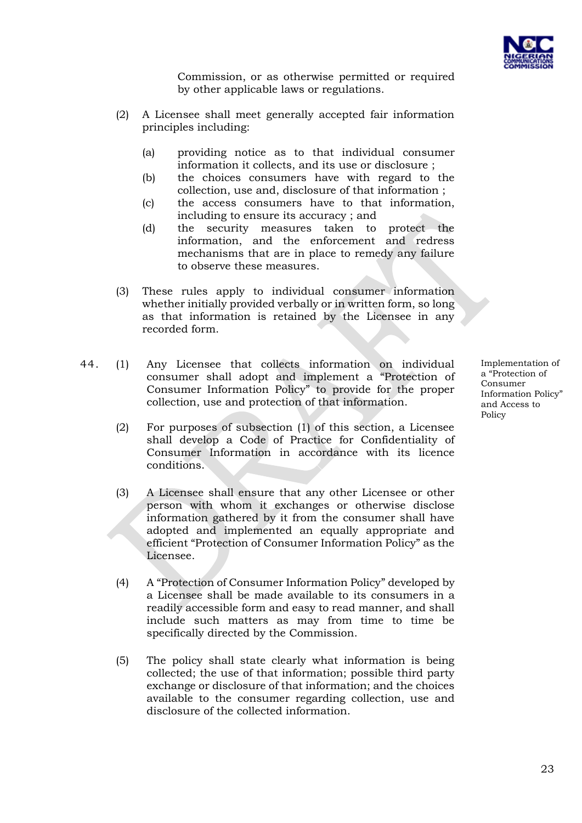

Commission, or as otherwise permitted or required by other applicable laws or regulations.

- (2) A Licensee shall meet generally accepted fair information principles including:
	- (a) providing notice as to that individual consumer information it collects, and its use or disclosure ;
	- (b) the choices consumers have with regard to the collection, use and, disclosure of that information ;
	- (c) the access consumers have to that information, including to ensure its accuracy ; and
	- (d) the security measures taken to protect the information, and the enforcement and redress mechanisms that are in place to remedy any failure to observe these measures.
- (3) These rules apply to individual consumer information whether initially provided verbally or in written form, so long as that information is retained by the Licensee in any recorded form.
- 44. (1) Any Licensee that collects information on individual consumer shall adopt and implement a "Protection of Consumer Information Policy" to provide for the proper collection, use and protection of that information.
	- (2) For purposes of subsection (1) of this section, a Licensee shall develop a Code of Practice for Confidentiality of Consumer Information in accordance with its licence conditions.
	- (3) A Licensee shall ensure that any other Licensee or other person with whom it exchanges or otherwise disclose information gathered by it from the consumer shall have adopted and implemented an equally appropriate and efficient "Protection of Consumer Information Policy" as the Licensee.
	- (4) A "Protection of Consumer Information Policy" developed by a Licensee shall be made available to its consumers in a readily accessible form and easy to read manner, and shall include such matters as may from time to time be specifically directed by the Commission.
	- (5) The policy shall state clearly what information is being collected; the use of that information; possible third party exchange or disclosure of that information; and the choices available to the consumer regarding collection, use and disclosure of the collected information.

Implementation of a "Protection of Consumer Information Policy" and Access to Policy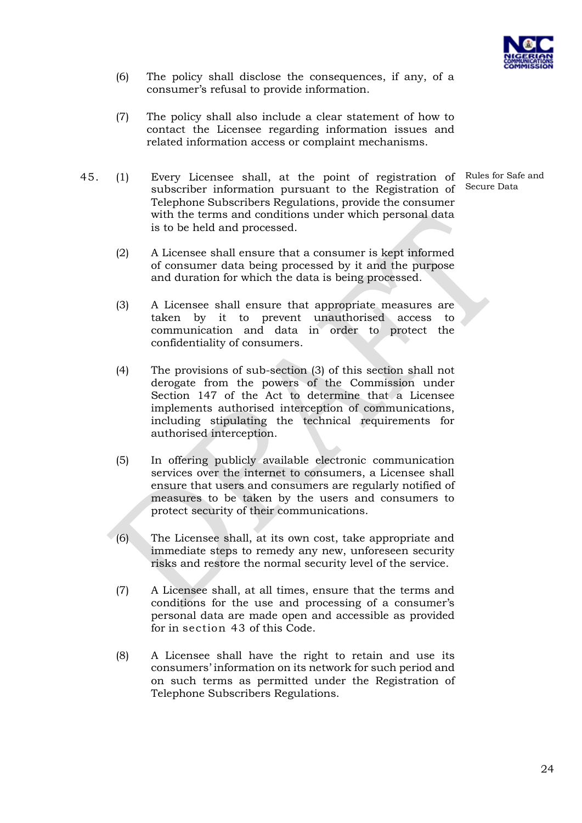

- (6) The policy shall disclose the consequences, if any, of a consumer's refusal to provide information.
- (7) The policy shall also include a clear statement of how to contact the Licensee regarding information issues and related information access or complaint mechanisms.
- 45. (1) Every Licensee shall, at the point of registration of Rules for Safe and subscriber information pursuant to the Registration of Telephone Subscribers Regulations, provide the consumer with the terms and conditions under which personal data is to be held and processed.

Secure Data

- (2) A Licensee shall ensure that a consumer is kept informed of consumer data being processed by it and the purpose and duration for which the data is being processed.
- (3) A Licensee shall ensure that appropriate measures are taken by it to prevent unauthorised access to communication and data in order to protect the confidentiality of consumers.
- (4) The provisions of sub-section (3) of this section shall not derogate from the powers of the Commission under Section 147 of the Act to determine that a Licensee implements authorised interception of communications, including stipulating the technical requirements for authorised interception.
- (5) In offering publicly available electronic communication services over the internet to consumers, a Licensee shall ensure that users and consumers are regularly notified of measures to be taken by the users and consumers to protect security of their communications.
- (6) The Licensee shall, at its own cost, take appropriate and immediate steps to remedy any new, unforeseen security risks and restore the normal security level of the service.
- (7) A Licensee shall, at all times, ensure that the terms and conditions for the use and processing of a consumer's personal data are made open and accessible as provided for in section 43 of this Code.
- (8) A Licensee shall have the right to retain and use its consumers' information on its network for such period and on such terms as permitted under the Registration of Telephone Subscribers Regulations.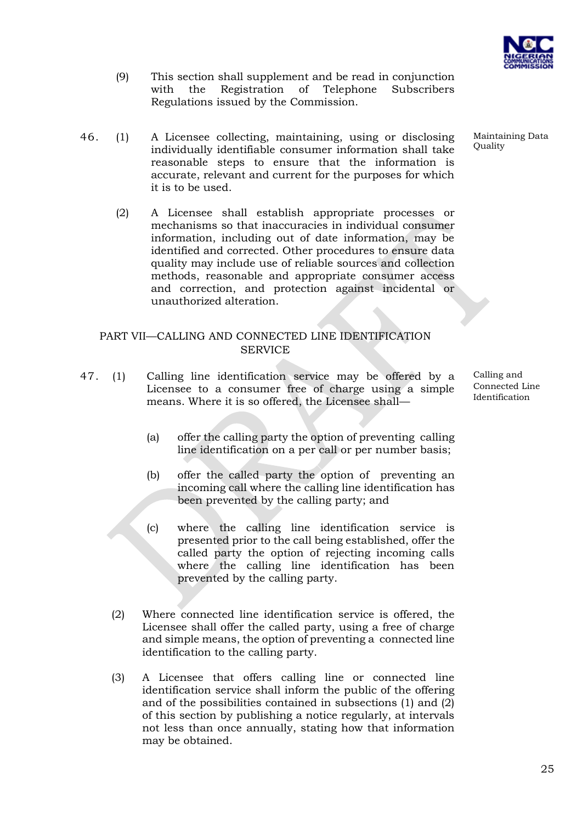

- (9) This section shall supplement and be read in conjunction with the Registration of Telephone Subscribers Regulations issued by the Commission.
- 46. (1) A Licensee collecting, maintaining, using or disclosing individually identifiable consumer information shall take reasonable steps to ensure that the information is accurate, relevant and current for the purposes for which it is to be used.
	- (2) A Licensee shall establish appropriate processes or mechanisms so that inaccuracies in individual consumer information, including out of date information, may be identified and corrected. Other procedures to ensure data quality may include use of reliable sources and collection methods, reasonable and appropriate consumer access and correction, and protection against incidental or unauthorized alteration.

## PART VII—CALLING AND CONNECTED LINE IDENTIFICATION **SERVICE**

- 47. (1) Calling line identification service may be offered by a Licensee to a consumer free of charge using a simple means. Where it is so offered, the Licensee shall—
	- (a) offer the calling party the option of preventing calling line identification on a per call or per number basis;
	- (b) offer the called party the option of preventing an incoming call where the calling line identification has been prevented by the calling party; and
	- (c) where the calling line identification service is presented prior to the call being established, offer the called party the option of rejecting incoming calls where the calling line identification has been prevented by the calling party.
	- (2) Where connected line identification service is offered, the Licensee shall offer the called party, using a free of charge and simple means, the option of preventing a connected line identification to the calling party.
	- (3) A Licensee that offers calling line or connected line identification service shall inform the public of the offering and of the possibilities contained in subsections (1) and (2) of this section by publishing a notice regularly, at intervals not less than once annually, stating how that information may be obtained.

**Quality** 

Maintaining Data

Calling and Connected Line Identification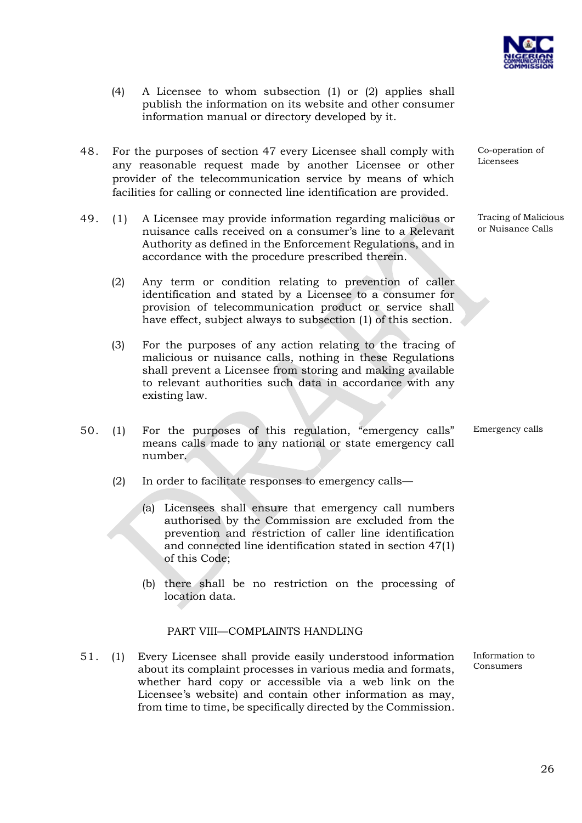

- (4) A Licensee to whom subsection (1) or (2) applies shall publish the information on its website and other consumer information manual or directory developed by it.
- 48. For the purposes of section 47 every Licensee shall comply with any reasonable request made by another Licensee or other provider of the telecommunication service by means of which facilities for calling or connected line identification are provided.
- 49. (1) A Licensee may provide information regarding malicious or nuisance calls received on a consumer's line to a Relevant Authority as defined in the Enforcement Regulations, and in accordance with the procedure prescribed therein.
	- (2) Any term or condition relating to prevention of caller identification and stated by a Licensee to a consumer for provision of telecommunication product or service shall have effect, subject always to subsection (1) of this section.
	- (3) For the purposes of any action relating to the tracing of malicious or nuisance calls, nothing in these Regulations shall prevent a Licensee from storing and making available to relevant authorities such data in accordance with any existing law.
- 50. (1) For the purposes of this regulation, "emergency calls" means calls made to any national or state emergency call number.
	- (2) In order to facilitate responses to emergency calls—
		- (a) Licensees shall ensure that emergency call numbers authorised by the Commission are excluded from the prevention and restriction of caller line identification and connected line identification stated in section 47(1) of this Code;
		- (b) there shall be no restriction on the processing of location data.

#### PART VIII—COMPLAINTS HANDLING

51. (1) Every Licensee shall provide easily understood information about its complaint processes in various media and formats, whether hard copy or accessible via a web link on the Licensee's website) and contain other information as may, from time to time, be specifically directed by the Commission.

Co-operation of Licensees

Tracing of Malicious or Nuisance Calls

Emergency calls

Information to Consumers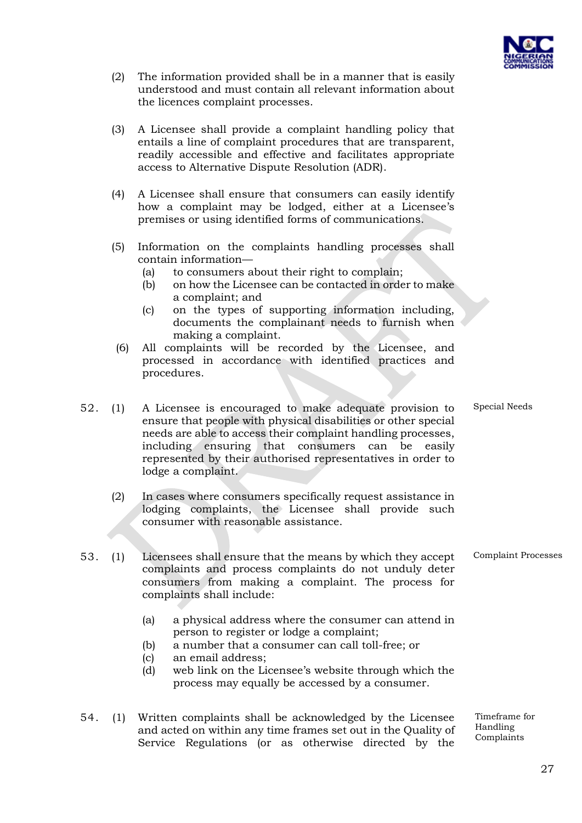

- (2) The information provided shall be in a manner that is easily understood and must contain all relevant information about the licences complaint processes.
- (3) A Licensee shall provide a complaint handling policy that entails a line of complaint procedures that are transparent, readily accessible and effective and facilitates appropriate access to Alternative Dispute Resolution (ADR).
- (4) A Licensee shall ensure that consumers can easily identify how a complaint may be lodged, either at a Licensee's premises or using identified forms of communications.
- (5) Information on the complaints handling processes shall contain information—
	- (a) to consumers about their right to complain;
	- (b) on how the Licensee can be contacted in order to make a complaint; and
	- (c) on the types of supporting information including, documents the complainant needs to furnish when making a complaint.
	- (6) All complaints will be recorded by the Licensee, and processed in accordance with identified practices and procedures.
- 52. (1) A Licensee is encouraged to make adequate provision to ensure that people with physical disabilities or other special needs are able to access their complaint handling processes, including ensuring that consumers can be easily represented by their authorised representatives in order to lodge a complaint.
	- (2) In cases where consumers specifically request assistance in lodging complaints, the Licensee shall provide such consumer with reasonable assistance.
- 53. (1) Licensees shall ensure that the means by which they accept complaints and process complaints do not unduly deter consumers from making a complaint. The process for complaints shall include: Complaint Processes
	- (a) a physical address where the consumer can attend in person to register or lodge a complaint;
	- (b) a number that a consumer can call toll-free; or
	- (c) an email address;
	- (d) web link on the Licensee's website through which the process may equally be accessed by a consumer.
- 54. (1) Written complaints shall be acknowledged by the Licensee and acted on within any time frames set out in the Quality of Service Regulations (or as otherwise directed by the

Special Needs

Timeframe for

Handling Complaints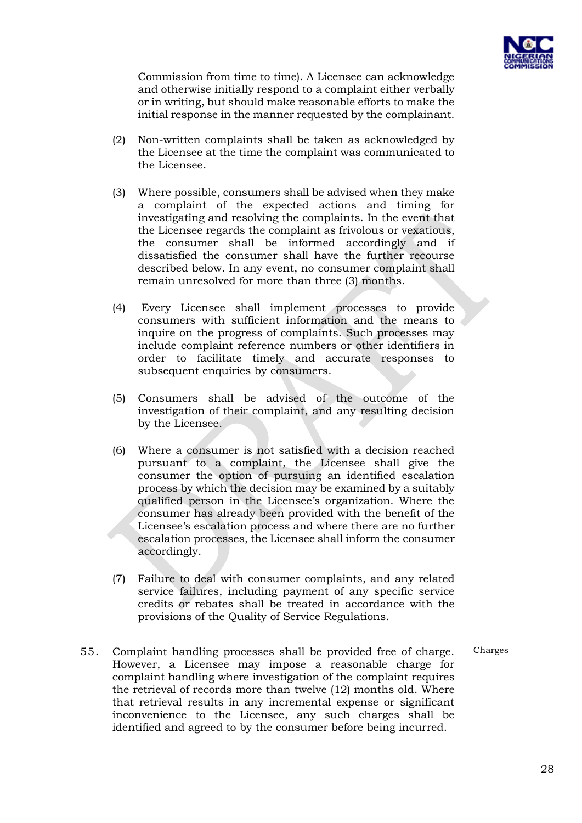

Commission from time to time). A Licensee can acknowledge and otherwise initially respond to a complaint either verbally or in writing, but should make reasonable efforts to make the initial response in the manner requested by the complainant.

- (2) Non-written complaints shall be taken as acknowledged by the Licensee at the time the complaint was communicated to the Licensee.
- (3) Where possible, consumers shall be advised when they make a complaint of the expected actions and timing for investigating and resolving the complaints. In the event that the Licensee regards the complaint as frivolous or vexatious, the consumer shall be informed accordingly and if dissatisfied the consumer shall have the further recourse described below. In any event, no consumer complaint shall remain unresolved for more than three (3) months.
- (4) Every Licensee shall implement processes to provide consumers with sufficient information and the means to inquire on the progress of complaints. Such processes may include complaint reference numbers or other identifiers in order to facilitate timely and accurate responses to subsequent enquiries by consumers.
- (5) Consumers shall be advised of the outcome of the investigation of their complaint, and any resulting decision by the Licensee.
- (6) Where a consumer is not satisfied with a decision reached pursuant to a complaint, the Licensee shall give the consumer the option of pursuing an identified escalation process by which the decision may be examined by a suitably qualified person in the Licensee's organization. Where the consumer has already been provided with the benefit of the Licensee's escalation process and where there are no further escalation processes, the Licensee shall inform the consumer accordingly.
- (7) Failure to deal with consumer complaints, and any related service failures, including payment of any specific service credits or rebates shall be treated in accordance with the provisions of the Quality of Service Regulations.

Charges

55. Complaint handling processes shall be provided free of charge. However, a Licensee may impose a reasonable charge for complaint handling where investigation of the complaint requires the retrieval of records more than twelve (12) months old. Where that retrieval results in any incremental expense or significant inconvenience to the Licensee, any such charges shall be identified and agreed to by the consumer before being incurred.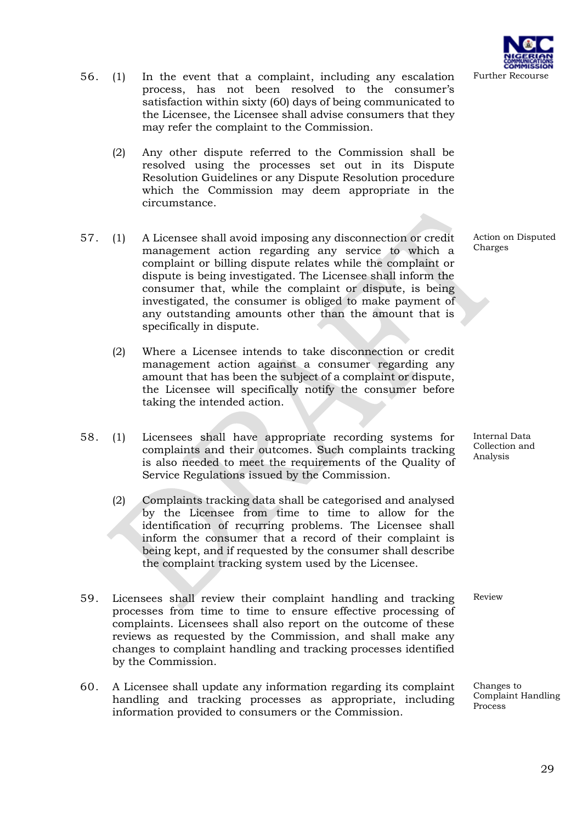- 56. (1) In the event that a complaint, including any escalation process, has not been resolved to the consumer's satisfaction within sixty (60) days of being communicated to the Licensee, the Licensee shall advise consumers that they may refer the complaint to the Commission.
	- (2) Any other dispute referred to the Commission shall be resolved using the processes set out in its Dispute Resolution Guidelines or any Dispute Resolution procedure which the Commission may deem appropriate in the circumstance.
- 57. (1) A Licensee shall avoid imposing any disconnection or credit management action regarding any service to which a complaint or billing dispute relates while the complaint or dispute is being investigated. The Licensee shall inform the consumer that, while the complaint or dispute, is being investigated, the consumer is obliged to make payment of any outstanding amounts other than the amount that is specifically in dispute.
	- (2) Where a Licensee intends to take disconnection or credit management action against a consumer regarding any amount that has been the subject of a complaint or dispute, the Licensee will specifically notify the consumer before taking the intended action.
- 58. (1) Licensees shall have appropriate recording systems for complaints and their outcomes. Such complaints tracking is also needed to meet the requirements of the Quality of Service Regulations issued by the Commission.
	- (2) Complaints tracking data shall be categorised and analysed by the Licensee from time to time to allow for the identification of recurring problems. The Licensee shall inform the consumer that a record of their complaint is being kept, and if requested by the consumer shall describe the complaint tracking system used by the Licensee.
- 59. Licensees shall review their complaint handling and tracking processes from time to time to ensure effective processing of complaints. Licensees shall also report on the outcome of these reviews as requested by the Commission, and shall make any changes to complaint handling and tracking processes identified by the Commission.
- 60. A Licensee shall update any information regarding its complaint handling and tracking processes as appropriate, including information provided to consumers or the Commission.

Action on Disputed Charges

Internal Data Collection and Analysis

Review

Changes to Complaint Handling **Process**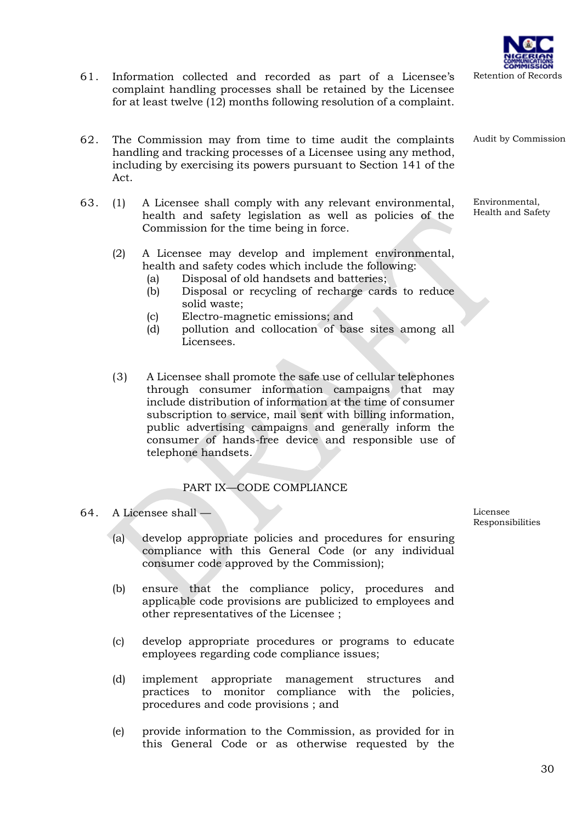- 61. Information collected and recorded as part of a Licensee's complaint handling processes shall be retained by the Licensee for at least twelve (12) months following resolution of a complaint.
- 62. The Commission may from time to time audit the complaints handling and tracking processes of a Licensee using any method, including by exercising its powers pursuant to Section 141 of the Act.
- 63. (1) A Licensee shall comply with any relevant environmental, health and safety legislation as well as policies of the Commission for the time being in force.
	- (2) A Licensee may develop and implement environmental, health and safety codes which include the following:
		- (a) Disposal of old handsets and batteries;
		- (b) Disposal or recycling of recharge cards to reduce solid waste;
		- (c) Electro-magnetic emissions; and
		- (d) pollution and collocation of base sites among all Licensees.
	- (3) A Licensee shall promote the safe use of cellular telephones through consumer information campaigns that may include distribution of information at the time of consumer subscription to service, mail sent with billing information, public advertising campaigns and generally inform the consumer of hands-free device and responsible use of telephone handsets.

## PART IX—CODE COMPLIANCE

#### 64. A Licensee shall —

- (a) develop appropriate policies and procedures for ensuring compliance with this General Code (or any individual consumer code approved by the Commission);
- (b) ensure that the compliance policy, procedures and applicable code provisions are publicized to employees and other representatives of the Licensee ;
- (c) develop appropriate procedures or programs to educate employees regarding code compliance issues;
- (d) implement appropriate management structures and practices to monitor compliance with the policies, procedures and code provisions ; and
- (e) provide information to the Commission, as provided for in this General Code or as otherwise requested by the

Licensee Responsibilities

Audit by Commission

Environmental, Health and Safety

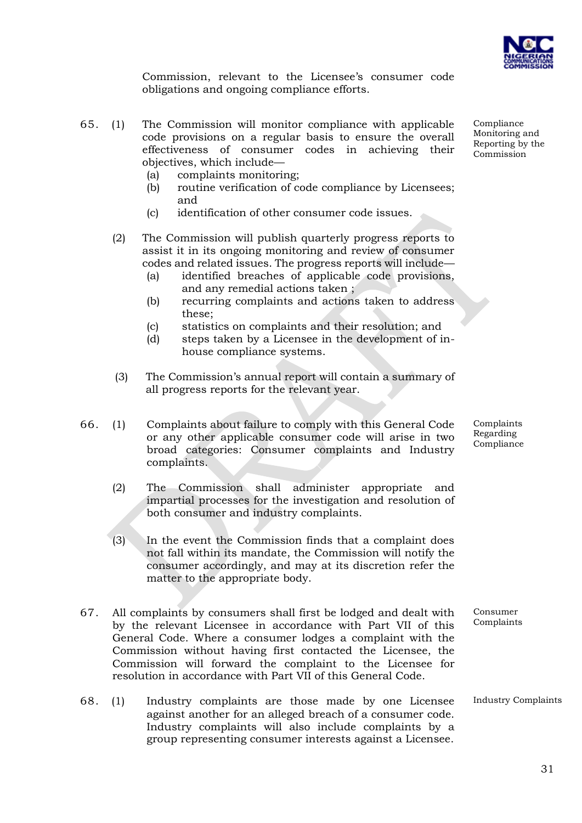

Commission, relevant to the Licensee's consumer code obligations and ongoing compliance efforts.

- 65. (1) The Commission will monitor compliance with applicable code provisions on a regular basis to ensure the overall effectiveness of consumer codes in achieving their objectives, which include—
	- (a) complaints monitoring;
	- (b) routine verification of code compliance by Licensees; and
	- (c) identification of other consumer code issues.
	- (2) The Commission will publish quarterly progress reports to assist it in its ongoing monitoring and review of consumer codes and related issues. The progress reports will include—
		- (a) identified breaches of applicable code provisions, and any remedial actions taken ;
		- (b) recurring complaints and actions taken to address these;
		- (c) statistics on complaints and their resolution; and
		- (d) steps taken by a Licensee in the development of inhouse compliance systems.
	- (3) The Commission's annual report will contain a summary of all progress reports for the relevant year.
- 66. (1) Complaints about failure to comply with this General Code or any other applicable consumer code will arise in two broad categories: Consumer complaints and Industry complaints.
	- (2) The Commission shall administer appropriate and impartial processes for the investigation and resolution of both consumer and industry complaints.
	- (3) In the event the Commission finds that a complaint does not fall within its mandate, the Commission will notify the consumer accordingly, and may at its discretion refer the matter to the appropriate body.
- 67. All complaints by consumers shall first be lodged and dealt with by the relevant Licensee in accordance with Part VII of this General Code. Where a consumer lodges a complaint with the Commission without having first contacted the Licensee, the Commission will forward the complaint to the Licensee for resolution in accordance with Part VII of this General Code.
- 68. (1) Industry complaints are those made by one Licensee against another for an alleged breach of a consumer code. Industry complaints will also include complaints by a group representing consumer interests against a Licensee.

Compliance Monitoring and Reporting by the Commission

Complaints Regarding Compliance

Consumer Complaints

Industry Complaints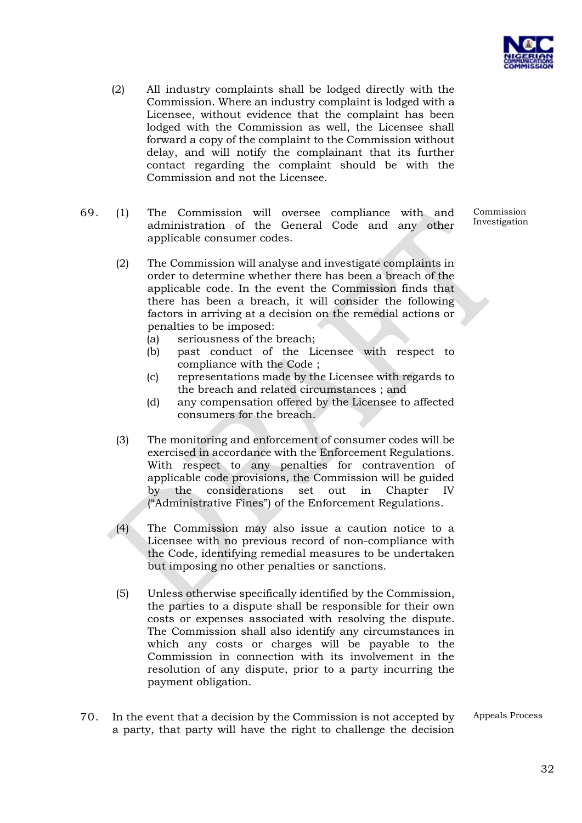

- (2) All industry complaints shall be lodged directly with the Commission. Where an industry complaint is lodged with a Licensee, without evidence that the complaint has been lodged with the Commission as well, the Licensee shall forward a copy of the complaint to the Commission without delay, and will notify the complainant that its further contact regarding the complaint should be with the Commission and not the Licensee.
- 69. (1) The Commission will oversee compliance with and administration of the General Code and any other applicable consumer codes.

Investigation

Commission

- (2) The Commission will analyse and investigate complaints in order to determine whether there has been a breach of the applicable code. In the event the Commission finds that there has been a breach, it will consider the following factors in arriving at a decision on the remedial actions or penalties to be imposed:
	- (a) seriousness of the breach;
	- (b) past conduct of the Licensee with respect to compliance with the Code ;
	- (c) representations made by the Licensee with regards to the breach and related circumstances ; and
	- (d) any compensation offered by the Licensee to affected consumers for the breach.
- (3) The monitoring and enforcement of consumer codes will be exercised in accordance with the Enforcement Regulations. With respect to any penalties for contravention of applicable code provisions, the Commission will be guided by the considerations set out in Chapter IV ("Administrative Fines") of the Enforcement Regulations.
- (4) The Commission may also issue a caution notice to a Licensee with no previous record of non-compliance with the Code, identifying remedial measures to be undertaken but imposing no other penalties or sanctions.
- (5) Unless otherwise specifically identified by the Commission, the parties to a dispute shall be responsible for their own costs or expenses associated with resolving the dispute. The Commission shall also identify any circumstances in which any costs or charges will be payable to the Commission in connection with its involvement in the resolution of any dispute, prior to a party incurring the payment obligation.
- 70. In the event that a decision by the Commission is not accepted by a party, that party will have the right to challenge the decision

Appeals Process